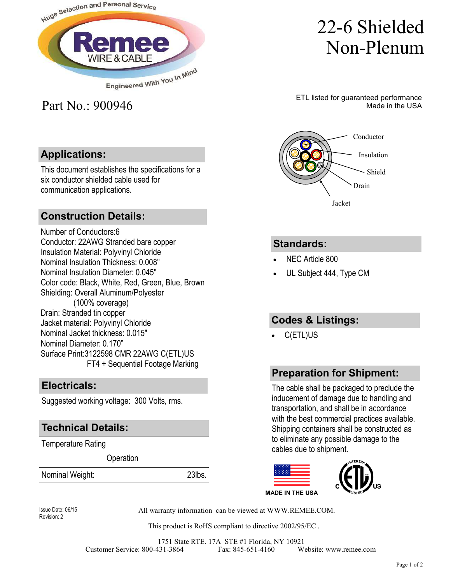

# 22-6 Shielded Non-Plenum

ETL listed for guaranteed performance Made in the USA

Shield

Insulation

Conductor

## **Applications:**

Part No.: 900946

This document establishes the specifications for a six conductor shielded cable used for communication applications.

#### **Construction Details:**

Number of Conductors:6 Conductor: 22AWG Stranded bare copper Insulation Material: Polyvinyl Chloride Nominal Insulation Thickness: 0.008" Nominal Insulation Diameter: 0.045" Color code: Black, White, Red, Green, Blue, Brown Shielding: Overall Aluminum/Polyester (100% coverage) Drain: Stranded tin copper Jacket material: Polyvinyl Chloride Nominal Jacket thickness: 0.015" Nominal Diameter: 0.170" Surface Print:3122598 CMR 22AWG C(ETL)US FT4 + Sequential Footage Marking

#### **Electricals:**

Suggested working voltage: 300 Volts, rms.

#### **Technical Details:**

Temperature Rating

**Operation** 

Nominal Weight: 23lbs.



#### **Standards:**

- NEC Article 800
- UL Subject 444, Type CM

### **Codes & Listings:**

• C(ETL)US

#### **Preparation for Shipment:**

The cable shall be packaged to preclude the inducement of damage due to handling and transportation, and shall be in accordance with the best commercial practices available. Shipping containers shall be constructed as to eliminate any possible damage to the cables due to shipment.



Revision: 2

Issue Date: 06/15 All warranty information can be viewed at WWW.REMEE.COM.

This product is RoHS compliant to directive 2002/95/EC .

1751 State RTE. 17A STE #1 Florida, NY 10921 Customer Service: 800-431-3864 Fax: 845-651-4160 Website: www.remee.com